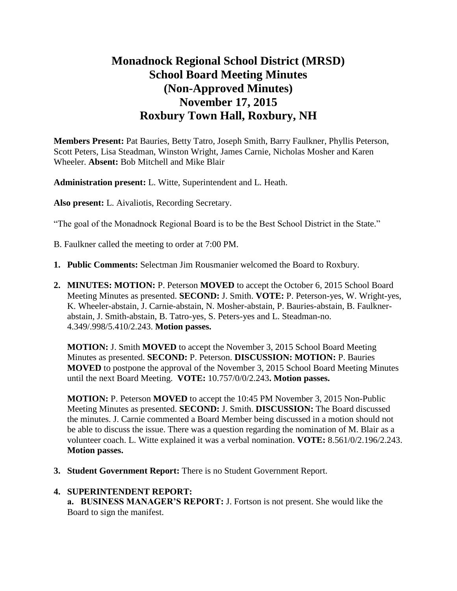# **Monadnock Regional School District (MRSD) School Board Meeting Minutes (Non-Approved Minutes) November 17, 2015 Roxbury Town Hall, Roxbury, NH**

**Members Present:** Pat Bauries, Betty Tatro, Joseph Smith, Barry Faulkner, Phyllis Peterson, Scott Peters, Lisa Steadman, Winston Wright, James Carnie, Nicholas Mosher and Karen Wheeler. **Absent:** Bob Mitchell and Mike Blair

**Administration present:** L. Witte, Superintendent and L. Heath.

**Also present:** L. Aivaliotis, Recording Secretary.

"The goal of the Monadnock Regional Board is to be the Best School District in the State."

- B. Faulkner called the meeting to order at 7:00 PM.
- **1. Public Comments:** Selectman Jim Rousmanier welcomed the Board to Roxbury.
- **2. MINUTES: MOTION:** P. Peterson **MOVED** to accept the October 6, 2015 School Board Meeting Minutes as presented. **SECOND:** J. Smith. **VOTE:** P. Peterson-yes, W. Wright-yes, K. Wheeler-abstain, J. Carnie-abstain, N. Mosher-abstain, P. Bauries-abstain, B. Faulknerabstain, J. Smith-abstain, B. Tatro-yes, S. Peters-yes and L. Steadman-no. 4.349/.998/5.410/2.243. **Motion passes.**

**MOTION:** J. Smith **MOVED** to accept the November 3, 2015 School Board Meeting Minutes as presented. **SECOND:** P. Peterson. **DISCUSSION: MOTION:** P. Bauries **MOVED** to postpone the approval of the November 3, 2015 School Board Meeting Minutes until the next Board Meeting. **VOTE:** 10.757/0/0/2.243**. Motion passes.** 

**MOTION:** P. Peterson **MOVED** to accept the 10:45 PM November 3, 2015 Non-Public Meeting Minutes as presented. **SECOND:** J. Smith. **DISCUSSION:** The Board discussed the minutes. J. Carnie commented a Board Member being discussed in a motion should not be able to discuss the issue. There was a question regarding the nomination of M. Blair as a volunteer coach. L. Witte explained it was a verbal nomination. **VOTE:** 8.561/0/2.196/2.243. **Motion passes.** 

**3. Student Government Report:** There is no Student Government Report.

#### **4. SUPERINTENDENT REPORT:**

 **a. BUSINESS MANAGER'S REPORT:** J. Fortson is not present. She would like the Board to sign the manifest.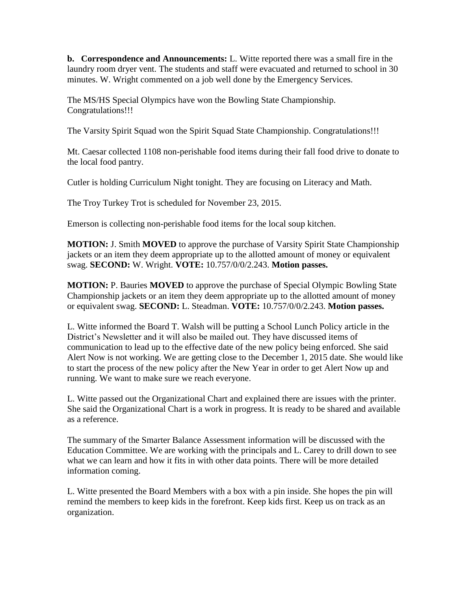**b. Correspondence and Announcements:** L. Witte reported there was a small fire in the laundry room dryer vent. The students and staff were evacuated and returned to school in 30 minutes. W. Wright commented on a job well done by the Emergency Services.

The MS/HS Special Olympics have won the Bowling State Championship. Congratulations!!!

The Varsity Spirit Squad won the Spirit Squad State Championship. Congratulations!!!

Mt. Caesar collected 1108 non-perishable food items during their fall food drive to donate to the local food pantry.

Cutler is holding Curriculum Night tonight. They are focusing on Literacy and Math.

The Troy Turkey Trot is scheduled for November 23, 2015.

Emerson is collecting non-perishable food items for the local soup kitchen.

**MOTION:** J. Smith **MOVED** to approve the purchase of Varsity Spirit State Championship jackets or an item they deem appropriate up to the allotted amount of money or equivalent swag. **SECOND:** W. Wright. **VOTE:** 10.757/0/0/2.243. **Motion passes.** 

**MOTION:** P. Bauries **MOVED** to approve the purchase of Special Olympic Bowling State Championship jackets or an item they deem appropriate up to the allotted amount of money or equivalent swag. **SECOND:** L. Steadman. **VOTE:** 10.757/0/0/2.243. **Motion passes.** 

L. Witte informed the Board T. Walsh will be putting a School Lunch Policy article in the District's Newsletter and it will also be mailed out. They have discussed items of communication to lead up to the effective date of the new policy being enforced. She said Alert Now is not working. We are getting close to the December 1, 2015 date. She would like to start the process of the new policy after the New Year in order to get Alert Now up and running. We want to make sure we reach everyone.

L. Witte passed out the Organizational Chart and explained there are issues with the printer. She said the Organizational Chart is a work in progress. It is ready to be shared and available as a reference.

The summary of the Smarter Balance Assessment information will be discussed with the Education Committee. We are working with the principals and L. Carey to drill down to see what we can learn and how it fits in with other data points. There will be more detailed information coming.

L. Witte presented the Board Members with a box with a pin inside. She hopes the pin will remind the members to keep kids in the forefront. Keep kids first. Keep us on track as an organization.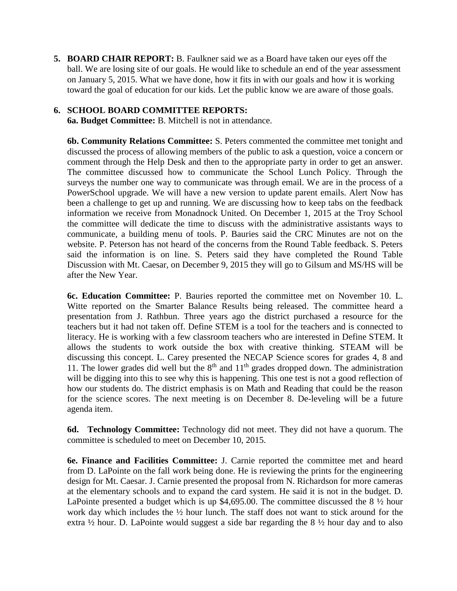**5. BOARD CHAIR REPORT:** B. Faulkner said we as a Board have taken our eyes off the ball. We are losing site of our goals. He would like to schedule an end of the year assessment on January 5, 2015. What we have done, how it fits in with our goals and how it is working toward the goal of education for our kids. Let the public know we are aware of those goals.

#### **6. SCHOOL BOARD COMMITTEE REPORTS:**

**6a. Budget Committee:** B. Mitchell is not in attendance.

**6b. Community Relations Committee:** S. Peters commented the committee met tonight and discussed the process of allowing members of the public to ask a question, voice a concern or comment through the Help Desk and then to the appropriate party in order to get an answer. The committee discussed how to communicate the School Lunch Policy. Through the surveys the number one way to communicate was through email. We are in the process of a PowerSchool upgrade. We will have a new version to update parent emails. Alert Now has been a challenge to get up and running. We are discussing how to keep tabs on the feedback information we receive from Monadnock United. On December 1, 2015 at the Troy School the committee will dedicate the time to discuss with the administrative assistants ways to communicate, a building menu of tools. P. Bauries said the CRC Minutes are not on the website. P. Peterson has not heard of the concerns from the Round Table feedback. S. Peters said the information is on line. S. Peters said they have completed the Round Table Discussion with Mt. Caesar, on December 9, 2015 they will go to Gilsum and MS/HS will be after the New Year.

 **6c. Education Committee:** P. Bauries reported the committee met on November 10. L. Witte reported on the Smarter Balance Results being released. The committee heard a presentation from J. Rathbun. Three years ago the district purchased a resource for the teachers but it had not taken off. Define STEM is a tool for the teachers and is connected to literacy. He is working with a few classroom teachers who are interested in Define STEM. It allows the students to work outside the box with creative thinking. STEAM will be discussing this concept. L. Carey presented the NECAP Science scores for grades 4, 8 and 11. The lower grades did well but the  $8<sup>th</sup>$  and  $11<sup>th</sup>$  grades dropped down. The administration will be digging into this to see why this is happening. This one test is not a good reflection of how our students do. The district emphasis is on Math and Reading that could be the reason for the science scores. The next meeting is on December 8. De-leveling will be a future agenda item.

**6d. Technology Committee:** Technology did not meet. They did not have a quorum. The committee is scheduled to meet on December 10, 2015.

 **6e. Finance and Facilities Committee:** J. Carnie reported the committee met and heard from D. LaPointe on the fall work being done. He is reviewing the prints for the engineering design for Mt. Caesar. J. Carnie presented the proposal from N. Richardson for more cameras at the elementary schools and to expand the card system. He said it is not in the budget. D. LaPointe presented a budget which is up  $$4,695.00$ . The committee discussed the  $8\frac{1}{2}$  hour work day which includes the ½ hour lunch. The staff does not want to stick around for the extra  $\frac{1}{2}$  hour. D. LaPointe would suggest a side bar regarding the 8  $\frac{1}{2}$  hour day and to also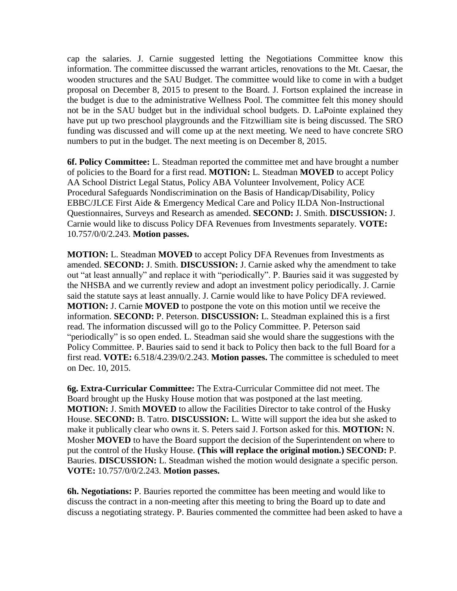cap the salaries. J. Carnie suggested letting the Negotiations Committee know this information. The committee discussed the warrant articles, renovations to the Mt. Caesar, the wooden structures and the SAU Budget. The committee would like to come in with a budget proposal on December 8, 2015 to present to the Board. J. Fortson explained the increase in the budget is due to the administrative Wellness Pool. The committee felt this money should not be in the SAU budget but in the individual school budgets. D. LaPointe explained they have put up two preschool playgrounds and the Fitzwilliam site is being discussed. The SRO funding was discussed and will come up at the next meeting. We need to have concrete SRO numbers to put in the budget. The next meeting is on December 8, 2015.

**6f. Policy Committee:** L. Steadman reported the committee met and have brought a number of policies to the Board for a first read. **MOTION:** L. Steadman **MOVED** to accept Policy AA School District Legal Status, Policy ABA Volunteer Involvement, Policy ACE Procedural Safeguards Nondiscrimination on the Basis of Handicap/Disability, Policy EBBC/JLCE First Aide & Emergency Medical Care and Policy ILDA Non-Instructional Questionnaires, Surveys and Research as amended. **SECOND:** J. Smith. **DISCUSSION:** J. Carnie would like to discuss Policy DFA Revenues from Investments separately. **VOTE:**  10.757/0/0/2.243. **Motion passes.** 

**MOTION:** L. Steadman **MOVED** to accept Policy DFA Revenues from Investments as amended. **SECOND:** J. Smith. **DISCUSSION:** J. Carnie asked why the amendment to take out "at least annually" and replace it with "periodically". P. Bauries said it was suggested by the NHSBA and we currently review and adopt an investment policy periodically. J. Carnie said the statute says at least annually. J. Carnie would like to have Policy DFA reviewed. **MOTION:** J. Carnie **MOVED** to postpone the vote on this motion until we receive the information. **SECOND:** P. Peterson. **DISCUSSION:** L. Steadman explained this is a first read. The information discussed will go to the Policy Committee. P. Peterson said "periodically" is so open ended. L. Steadman said she would share the suggestions with the Policy Committee. P. Bauries said to send it back to Policy then back to the full Board for a first read. **VOTE:** 6.518/4.239/0/2.243. **Motion passes.** The committee is scheduled to meet on Dec. 10, 2015.

**6g. Extra-Curricular Committee:** The Extra-Curricular Committee did not meet. The Board brought up the Husky House motion that was postponed at the last meeting. **MOTION:** J. Smith **MOVED** to allow the Facilities Director to take control of the Husky House. **SECOND:** B. Tatro. **DISCUSSION:** L. Witte will support the idea but she asked to make it publically clear who owns it. S. Peters said J. Fortson asked for this. **MOTION:** N. Mosher **MOVED** to have the Board support the decision of the Superintendent on where to put the control of the Husky House. **(This will replace the original motion.) SECOND:** P. Bauries. **DISCUSSION:** L. Steadman wished the motion would designate a specific person. **VOTE:** 10.757/0/0/2.243. **Motion passes.** 

**6h. Negotiations:** P. Bauries reported the committee has been meeting and would like to discuss the contract in a non-meeting after this meeting to bring the Board up to date and discuss a negotiating strategy. P. Bauries commented the committee had been asked to have a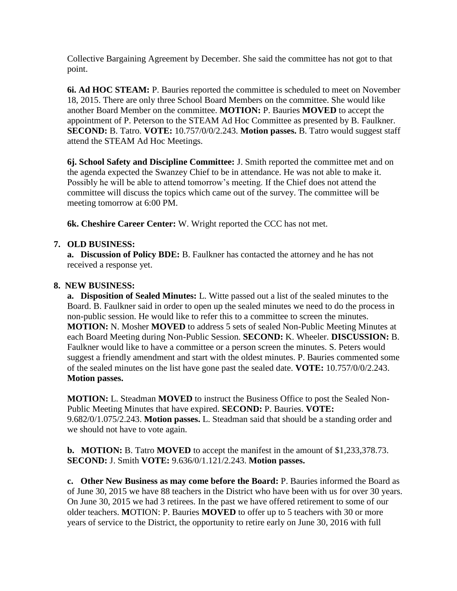Collective Bargaining Agreement by December. She said the committee has not got to that point.

**6i. Ad HOC STEAM:** P. Bauries reported the committee is scheduled to meet on November 18, 2015. There are only three School Board Members on the committee. She would like another Board Member on the committee. **MOTION:** P. Bauries **MOVED** to accept the appointment of P. Peterson to the STEAM Ad Hoc Committee as presented by B. Faulkner. **SECOND:** B. Tatro. **VOTE:** 10.757/0/0/2.243. **Motion passes.** B. Tatro would suggest staff attend the STEAM Ad Hoc Meetings.

**6j. School Safety and Discipline Committee:** J. Smith reported the committee met and on the agenda expected the Swanzey Chief to be in attendance. He was not able to make it. Possibly he will be able to attend tomorrow's meeting. If the Chief does not attend the committee will discuss the topics which came out of the survey. The committee will be meeting tomorrow at 6:00 PM.

**6k. Cheshire Career Center:** W. Wright reported the CCC has not met.

## **7. OLD BUSINESS:**

 **a. Discussion of Policy BDE:** B. Faulkner has contacted the attorney and he has not received a response yet.

### **8. NEW BUSINESS:**

**a. Disposition of Sealed Minutes:** L. Witte passed out a list of the sealed minutes to the Board. B. Faulkner said in order to open up the sealed minutes we need to do the process in non-public session. He would like to refer this to a committee to screen the minutes. **MOTION:** N. Mosher **MOVED** to address 5 sets of sealed Non-Public Meeting Minutes at each Board Meeting during Non-Public Session. **SECOND:** K. Wheeler. **DISCUSSION:** B. Faulkner would like to have a committee or a person screen the minutes. S. Peters would suggest a friendly amendment and start with the oldest minutes. P. Bauries commented some of the sealed minutes on the list have gone past the sealed date. **VOTE:** 10.757/0/0/2.243. **Motion passes.** 

**MOTION:** L. Steadman **MOVED** to instruct the Business Office to post the Sealed Non-Public Meeting Minutes that have expired. **SECOND:** P. Bauries. **VOTE:**  9.682/0/1.075/2.243. **Motion passes.** L. Steadman said that should be a standing order and we should not have to vote again.

**b. MOTION:** B. Tatro **MOVED** to accept the manifest in the amount of \$1,233,378.73. **SECOND:** J. Smith **VOTE:** 9.636/0/1.121/2.243. **Motion passes.**

**c. Other New Business as may come before the Board:** P. Bauries informed the Board as of June 30, 2015 we have 88 teachers in the District who have been with us for over 30 years. On June 30, 2015 we had 3 retirees. In the past we have offered retirement to some of our older teachers. **M**OTION: P. Bauries **MOVED** to offer up to 5 teachers with 30 or more years of service to the District, the opportunity to retire early on June 30, 2016 with full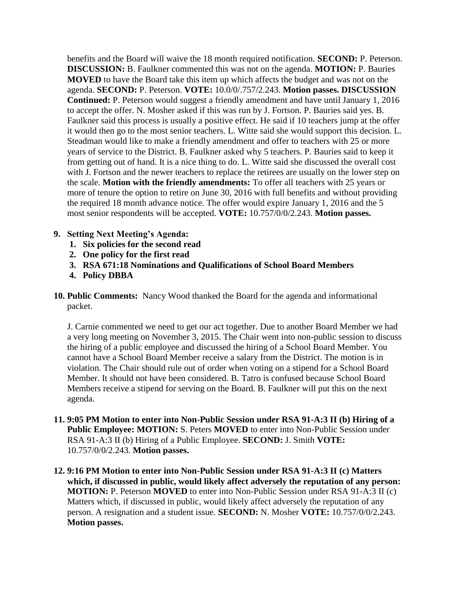benefits and the Board will waive the 18 month required notification. **SECOND:** P. Peterson. **DISCUSSION:** B. Faulkner commented this was not on the agenda. **MOTION:** P. Bauries **MOVED** to have the Board take this item up which affects the budget and was not on the agenda. **SECOND:** P. Peterson. **VOTE:** 10.0/0/.757/2.243. **Motion passes. DISCUSSION Continued:** P. Peterson would suggest a friendly amendment and have until January 1, 2016 to accept the offer. N. Mosher asked if this was run by J. Fortson. P. Bauries said yes. B. Faulkner said this process is usually a positive effect. He said if 10 teachers jump at the offer it would then go to the most senior teachers. L. Witte said she would support this decision. L. Steadman would like to make a friendly amendment and offer to teachers with 25 or more years of service to the District. B. Faulkner asked why 5 teachers. P. Bauries said to keep it from getting out of hand. It is a nice thing to do. L. Witte said she discussed the overall cost with J. Fortson and the newer teachers to replace the retirees are usually on the lower step on the scale. **Motion with the friendly amendments:** To offer all teachers with 25 years or more of tenure the option to retire on June 30, 2016 with full benefits and without providing the required 18 month advance notice. The offer would expire January 1, 2016 and the 5 most senior respondents will be accepted. **VOTE:** 10.757/0/0/2.243. **Motion passes.** 

- **9. Setting Next Meeting's Agenda:** 
	- **1. Six policies for the second read**
	- **2. One policy for the first read**
	- **3. RSA 671:18 Nominations and Qualifications of School Board Members**
	- **4. Policy DBBA**
- **10. Public Comments:** Nancy Wood thanked the Board for the agenda and informational packet.

J. Carnie commented we need to get our act together. Due to another Board Member we had a very long meeting on November 3, 2015. The Chair went into non-public session to discuss the hiring of a public employee and discussed the hiring of a School Board Member. You cannot have a School Board Member receive a salary from the District. The motion is in violation. The Chair should rule out of order when voting on a stipend for a School Board Member. It should not have been considered. B. Tatro is confused because School Board Members receive a stipend for serving on the Board. B. Faulkner will put this on the next agenda.

- **11. 9:05 PM Motion to enter into Non-Public Session under RSA 91-A:3 II (b) Hiring of a Public Employee: MOTION:** S. Peters **MOVED** to enter into Non-Public Session under RSA 91-A:3 II (b) Hiring of a Public Employee. **SECOND:** J. Smith **VOTE:**  10.757/0/0/2.243. **Motion passes.**
- **12. 9:16 PM Motion to enter into Non-Public Session under RSA 91-A:3 II (c) Matters which, if discussed in public, would likely affect adversely the reputation of any person: MOTION:** P. Peterson **MOVED** to enter into Non-Public Session under RSA 91-A:3 II (c) Matters which, if discussed in public, would likely affect adversely the reputation of any person. A resignation and a student issue. **SECOND:** N. Mosher **VOTE:** 10.757/0/0/2.243. **Motion passes.**